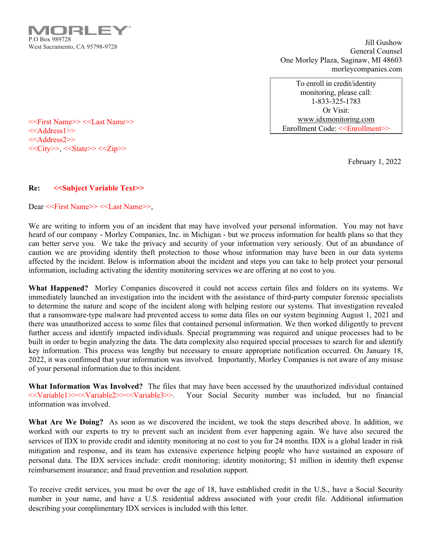121 P.O Box 989728 West Sacramento, CA 95798-9728

Jill Gushow General Counsel One Morley Plaza, Saginaw, MI 48603 morleycompanies.com

To enroll in credit/identity monitoring, please call: 1-833-325-1783 Or Visit: www.idxmonitoring.com Enrollment Code: <<Enrollment>>

February 1, 2022

<<First Name>> <<Last Name>> <<Address1>> <<Address2>>  $<<$ City>>,  $<<$ State>> $<<$ Zip>>

## Re: <<Subject Variable Text>>

Dear <<First Name>> <<Last Name>>,

We are writing to inform you of an incident that may have involved your personal information. You may not have heard of our company - Morley Companies, Inc. in Michigan - but we process information for health plans so that they can better serve you. We take the privacy and security of your information very seriously. Out of an abundance of caution we are providing identity theft protection to those whose information may have been in our data systems affected by the incident. Below is information about the incident and steps you can take to help protect your personal information, including activating the identity monitoring services we are offering at no cost to you.

What Happened? Morley Companies discovered it could not access certain files and folders on its systems. We immediately launched an investigation into the incident with the assistance of third-party computer forensic specialists to determine the nature and scope of the incident along with helping restore our systems. That investigation revealed that a ransomware-type malware had prevented access to some data files on our system beginning August 1, 2021 and there was unauthorized access to some files that contained personal information. We then worked diligently to prevent further access and identify impacted individuals. Special programming was required and unique processes had to be built in order to begin analyzing the data. The data complexity also required special processes to search for and identify key information. This process was lengthy but necessary to ensure appropriate notification occurred. On January 18, 2022, it was confirmed that your information was involved. Importantly, Morley Companies is not aware of any misuse of your personal information due to this incident.

What Information Was Involved? The files that may have been accessed by the unauthorized individual contained <<Variable1>><<Variable2>><<Variable3>>. Your Social Security number was included, but no financial information was involved.

What Are We Doing? As soon as we discovered the incident, we took the steps described above. In addition, we worked with our experts to try to prevent such an incident from ever happening again. We have also secured the services of IDX to provide credit and identity monitoring at no cost to you for 24 months. IDX is a global leader in risk mitigation and response, and its team has extensive experience helping people who have sustained an exposure of personal data. The IDX services include: credit monitoring; identity monitoring; \$1 million in identity theft expense reimbursement insurance; and fraud prevention and resolution support.

To receive credit services, you must be over the age of 18, have established credit in the U.S., have a Social Security number in your name, and have a U.S. residential address associated with your credit file. Additional information describing your complimentary IDX services is included with this letter.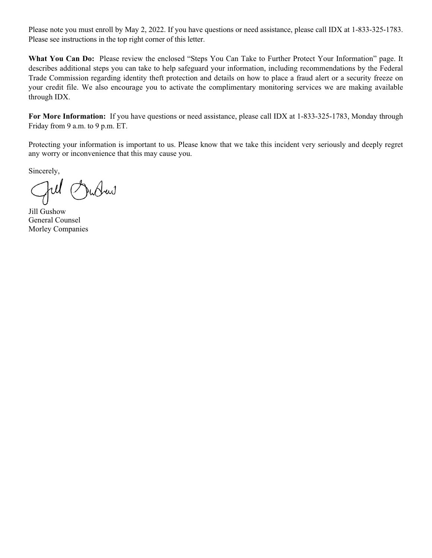Please note you must enroll by May 2, 2022. If you have questions or need assistance, please call IDX at 1-833-325-1783. Please see instructions in the top right corner of this letter.

What You Can Do: Please review the enclosed "Steps You Can Take to Further Protect Your Information" page. It describes additional steps you can take to help safeguard your information, including recommendations by the Federal Trade Commission regarding identity theft protection and details on how to place a fraud alert or a security freeze on your credit file. We also encourage you to activate the complimentary monitoring services we are making available through IDX.

For More Information: If you have questions or need assistance, please call IDX at 1-833-325-1783, Monday through Friday from 9 a.m. to 9 p.m. ET.

Protecting your information is important to us. Please know that we take this incident very seriously and deeply regret any worry or inconvenience that this may cause you.

Sincerely,

JuJew

Jill Gushow General Counsel Morley Companies